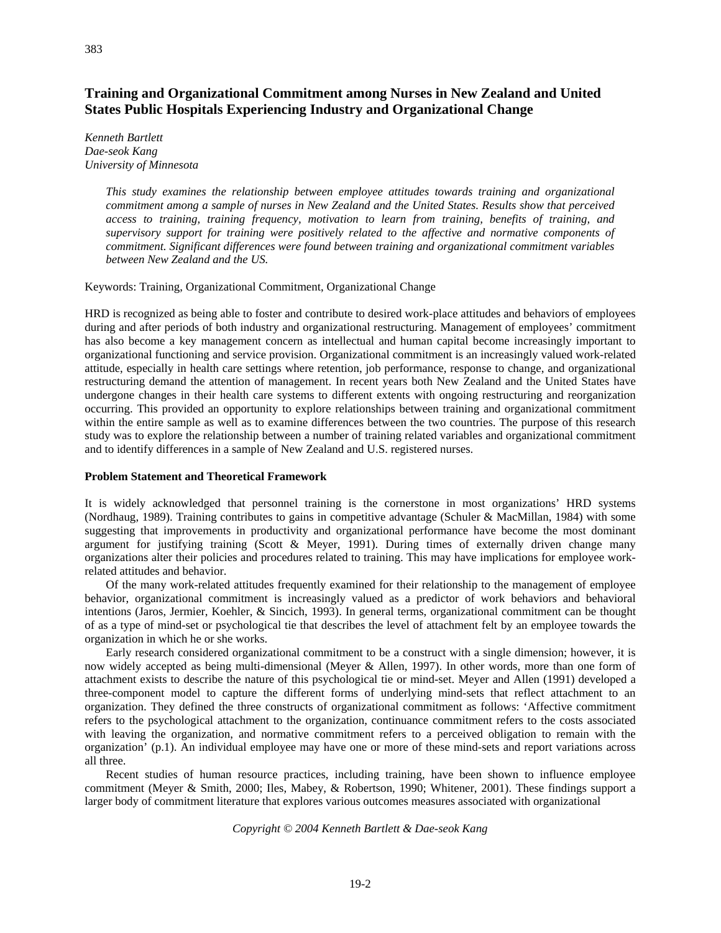# **Training and Organizational Commitment among Nurses in New Zealand and United States Public Hospitals Experiencing Industry and Organizational Change**

*Kenneth Bartlett Dae-seok Kang University of Minnesota*

> *This study examines the relationship between employee attitudes towards training and organizational commitment among a sample of nurses in New Zealand and the United States. Results show that perceived access to training, training frequency, motivation to learn from training, benefits of training, and supervisory support for training were positively related to the affective and normative components of commitment. Significant differences were found between training and organizational commitment variables between New Zealand and the US.*

Keywords: Training, Organizational Commitment, Organizational Change

HRD is recognized as being able to foster and contribute to desired work-place attitudes and behaviors of employees during and after periods of both industry and organizational restructuring. Management of employees' commitment has also become a key management concern as intellectual and human capital become increasingly important to organizational functioning and service provision. Organizational commitment is an increasingly valued work-related attitude, especially in health care settings where retention, job performance, response to change, and organizational restructuring demand the attention of management. In recent years both New Zealand and the United States have undergone changes in their health care systems to different extents with ongoing restructuring and reorganization occurring. This provided an opportunity to explore relationships between training and organizational commitment within the entire sample as well as to examine differences between the two countries. The purpose of this research study was to explore the relationship between a number of training related variables and organizational commitment and to identify differences in a sample of New Zealand and U.S. registered nurses.

## **Problem Statement and Theoretical Framework**

It is widely acknowledged that personnel training is the cornerstone in most organizations' HRD systems (Nordhaug, 1989). Training contributes to gains in competitive advantage (Schuler & MacMillan, 1984) with some suggesting that improvements in productivity and organizational performance have become the most dominant argument for justifying training (Scott & Meyer, 1991). During times of externally driven change many organizations alter their policies and procedures related to training. This may have implications for employee workrelated attitudes and behavior.

Of the many work-related attitudes frequently examined for their relationship to the management of employee behavior, organizational commitment is increasingly valued as a predictor of work behaviors and behavioral intentions (Jaros, Jermier, Koehler, & Sincich, 1993). In general terms, organizational commitment can be thought of as a type of mind-set or psychological tie that describes the level of attachment felt by an employee towards the organization in which he or she works.

Early research considered organizational commitment to be a construct with a single dimension; however, it is now widely accepted as being multi-dimensional (Meyer & Allen, 1997). In other words, more than one form of attachment exists to describe the nature of this psychological tie or mind-set. Meyer and Allen (1991) developed a three-component model to capture the different forms of underlying mind-sets that reflect attachment to an organization. They defined the three constructs of organizational commitment as follows: 'Affective commitment refers to the psychological attachment to the organization, continuance commitment refers to the costs associated with leaving the organization, and normative commitment refers to a perceived obligation to remain with the organization' (p.1). An individual employee may have one or more of these mind-sets and report variations across all three.

Recent studies of human resource practices, including training, have been shown to influence employee commitment (Meyer & Smith, 2000; Iles, Mabey, & Robertson, 1990; Whitener, 2001). These findings support a larger body of commitment literature that explores various outcomes measures associated with organizational

*Copyright © 2004 Kenneth Bartlett & Dae-seok Kang*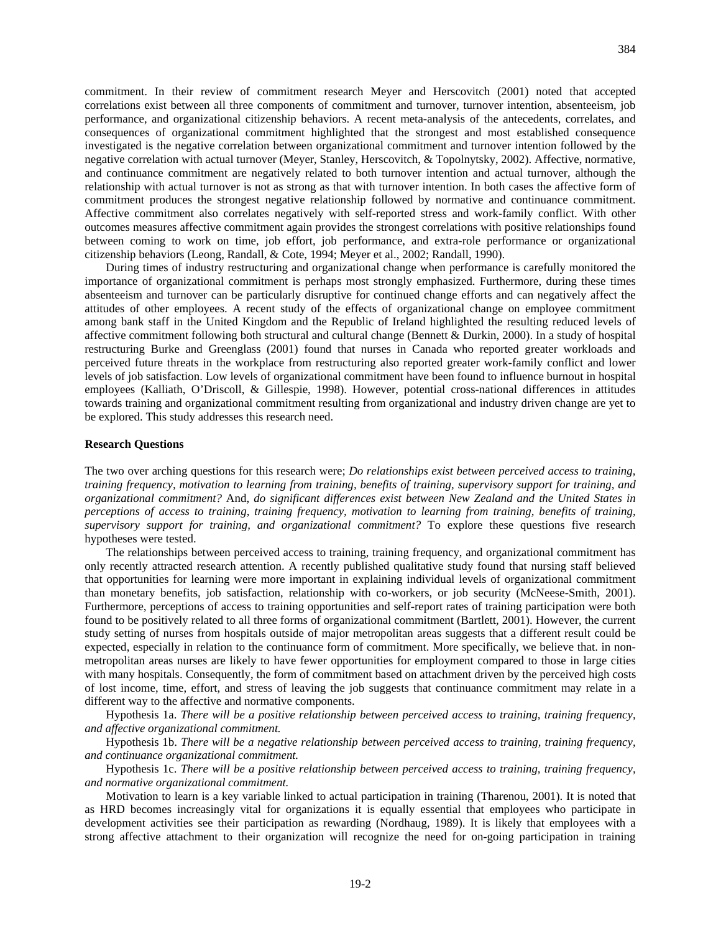commitment. In their review of commitment research Meyer and Herscovitch (2001) noted that accepted correlations exist between all three components of commitment and turnover, turnover intention, absenteeism, job performance, and organizational citizenship behaviors. A recent meta-analysis of the antecedents, correlates, and consequences of organizational commitment highlighted that the strongest and most established consequence investigated is the negative correlation between organizational commitment and turnover intention followed by the negative correlation with actual turnover (Meyer, Stanley, Herscovitch, & Topolnytsky, 2002). Affective, normative, and continuance commitment are negatively related to both turnover intention and actual turnover, although the relationship with actual turnover is not as strong as that with turnover intention. In both cases the affective form of commitment produces the strongest negative relationship followed by normative and continuance commitment. Affective commitment also correlates negatively with self-reported stress and work-family conflict. With other outcomes measures affective commitment again provides the strongest correlations with positive relationships found between coming to work on time, job effort, job performance, and extra-role performance or organizational citizenship behaviors (Leong, Randall, & Cote, 1994; Meyer et al., 2002; Randall, 1990).

During times of industry restructuring and organizational change when performance is carefully monitored the importance of organizational commitment is perhaps most strongly emphasized. Furthermore, during these times absenteeism and turnover can be particularly disruptive for continued change efforts and can negatively affect the attitudes of other employees. A recent study of the effects of organizational change on employee commitment among bank staff in the United Kingdom and the Republic of Ireland highlighted the resulting reduced levels of affective commitment following both structural and cultural change (Bennett & Durkin, 2000). In a study of hospital restructuring Burke and Greenglass (2001) found that nurses in Canada who reported greater workloads and perceived future threats in the workplace from restructuring also reported greater work-family conflict and lower levels of job satisfaction. Low levels of organizational commitment have been found to influence burnout in hospital employees (Kalliath, O'Driscoll, & Gillespie, 1998). However, potential cross-national differences in attitudes towards training and organizational commitment resulting from organizational and industry driven change are yet to be explored. This study addresses this research need.

#### **Research Questions**

The two over arching questions for this research were; *Do relationships exist between perceived access to training, training frequency, motivation to learning from training, benefits of training, supervisory support for training, and organizational commitment?* And, *do significant differences exist between New Zealand and the United States in perceptions of access to training, training frequency, motivation to learning from training, benefits of training, supervisory support for training, and organizational commitment?* To explore these questions five research hypotheses were tested.

The relationships between perceived access to training, training frequency, and organizational commitment has only recently attracted research attention. A recently published qualitative study found that nursing staff believed that opportunities for learning were more important in explaining individual levels of organizational commitment than monetary benefits, job satisfaction, relationship with co-workers, or job security (McNeese-Smith, 2001). Furthermore, perceptions of access to training opportunities and self-report rates of training participation were both found to be positively related to all three forms of organizational commitment (Bartlett, 2001). However, the current study setting of nurses from hospitals outside of major metropolitan areas suggests that a different result could be expected, especially in relation to the continuance form of commitment. More specifically, we believe that. in nonmetropolitan areas nurses are likely to have fewer opportunities for employment compared to those in large cities with many hospitals. Consequently, the form of commitment based on attachment driven by the perceived high costs of lost income, time, effort, and stress of leaving the job suggests that continuance commitment may relate in a different way to the affective and normative components.

 Hypothesis 1a. *There will be a positive relationship between perceived access to training, training frequency, and affective organizational commitment.* 

 Hypothesis 1b. *There will be a negative relationship between perceived access to training, training frequency, and continuance organizational commitment.* 

 Hypothesis 1c. *There will be a positive relationship between perceived access to training, training frequency, and normative organizational commitment.* 

Motivation to learn is a key variable linked to actual participation in training (Tharenou, 2001). It is noted that as HRD becomes increasingly vital for organizations it is equally essential that employees who participate in development activities see their participation as rewarding (Nordhaug, 1989). It is likely that employees with a strong affective attachment to their organization will recognize the need for on-going participation in training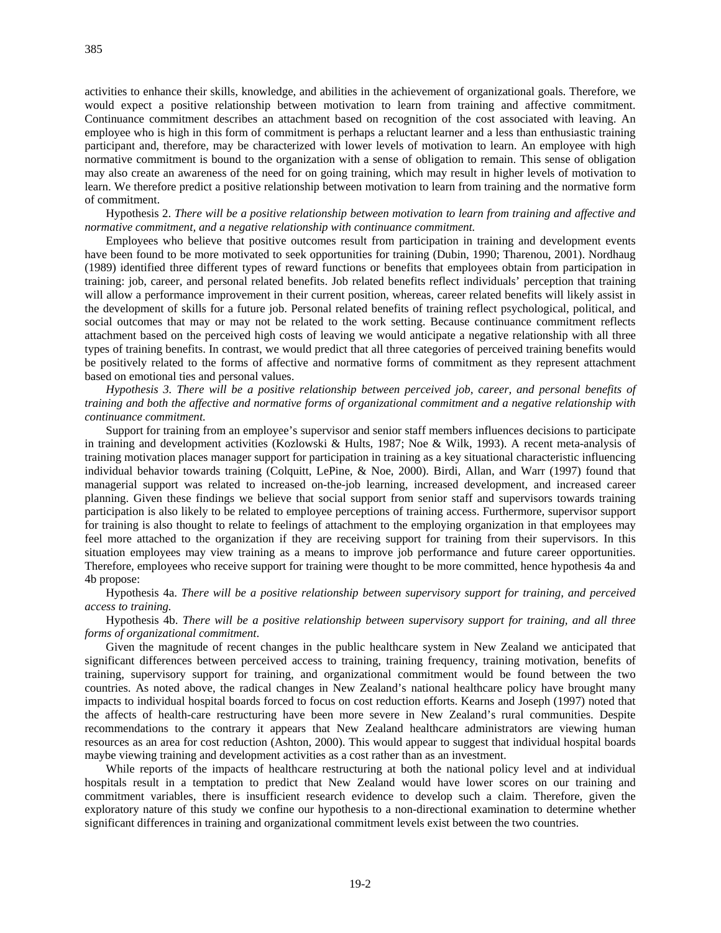activities to enhance their skills, knowledge, and abilities in the achievement of organizational goals. Therefore, we would expect a positive relationship between motivation to learn from training and affective commitment. Continuance commitment describes an attachment based on recognition of the cost associated with leaving. An employee who is high in this form of commitment is perhaps a reluctant learner and a less than enthusiastic training participant and, therefore, may be characterized with lower levels of motivation to learn. An employee with high normative commitment is bound to the organization with a sense of obligation to remain. This sense of obligation may also create an awareness of the need for on going training, which may result in higher levels of motivation to learn. We therefore predict a positive relationship between motivation to learn from training and the normative form of commitment.

 Hypothesis 2. *There will be a positive relationship between motivation to learn from training and affective and normative commitment, and a negative relationship with continuance commitment.* 

Employees who believe that positive outcomes result from participation in training and development events have been found to be more motivated to seek opportunities for training (Dubin, 1990; Tharenou, 2001). Nordhaug (1989) identified three different types of reward functions or benefits that employees obtain from participation in training: job, career, and personal related benefits. Job related benefits reflect individuals' perception that training will allow a performance improvement in their current position, whereas, career related benefits will likely assist in the development of skills for a future job. Personal related benefits of training reflect psychological, political, and social outcomes that may or may not be related to the work setting. Because continuance commitment reflects attachment based on the perceived high costs of leaving we would anticipate a negative relationship with all three types of training benefits. In contrast, we would predict that all three categories of perceived training benefits would be positively related to the forms of affective and normative forms of commitment as they represent attachment based on emotional ties and personal values.

*Hypothesis 3. There will be a positive relationship between perceived job, career, and personal benefits of training and both the affective and normative forms of organizational commitment and a negative relationship with continuance commitment.* 

Support for training from an employee's supervisor and senior staff members influences decisions to participate in training and development activities (Kozlowski & Hults, 1987; Noe & Wilk, 1993). A recent meta-analysis of training motivation places manager support for participation in training as a key situational characteristic influencing individual behavior towards training (Colquitt, LePine, & Noe, 2000). Birdi, Allan, and Warr (1997) found that managerial support was related to increased on-the-job learning, increased development, and increased career planning. Given these findings we believe that social support from senior staff and supervisors towards training participation is also likely to be related to employee perceptions of training access. Furthermore, supervisor support for training is also thought to relate to feelings of attachment to the employing organization in that employees may feel more attached to the organization if they are receiving support for training from their supervisors. In this situation employees may view training as a means to improve job performance and future career opportunities. Therefore, employees who receive support for training were thought to be more committed, hence hypothesis 4a and 4b propose:

 Hypothesis 4a. *There will be a positive relationship between supervisory support for training, and perceived access to training.*

 Hypothesis 4b. *There will be a positive relationship between supervisory support for training, and all three forms of organizational commitment*.

Given the magnitude of recent changes in the public healthcare system in New Zealand we anticipated that significant differences between perceived access to training, training frequency, training motivation, benefits of training, supervisory support for training, and organizational commitment would be found between the two countries. As noted above, the radical changes in New Zealand's national healthcare policy have brought many impacts to individual hospital boards forced to focus on cost reduction efforts. Kearns and Joseph (1997) noted that the affects of health-care restructuring have been more severe in New Zealand's rural communities. Despite recommendations to the contrary it appears that New Zealand healthcare administrators are viewing human resources as an area for cost reduction (Ashton, 2000). This would appear to suggest that individual hospital boards maybe viewing training and development activities as a cost rather than as an investment.

While reports of the impacts of healthcare restructuring at both the national policy level and at individual hospitals result in a temptation to predict that New Zealand would have lower scores on our training and commitment variables, there is insufficient research evidence to develop such a claim. Therefore, given the exploratory nature of this study we confine our hypothesis to a non-directional examination to determine whether significant differences in training and organizational commitment levels exist between the two countries.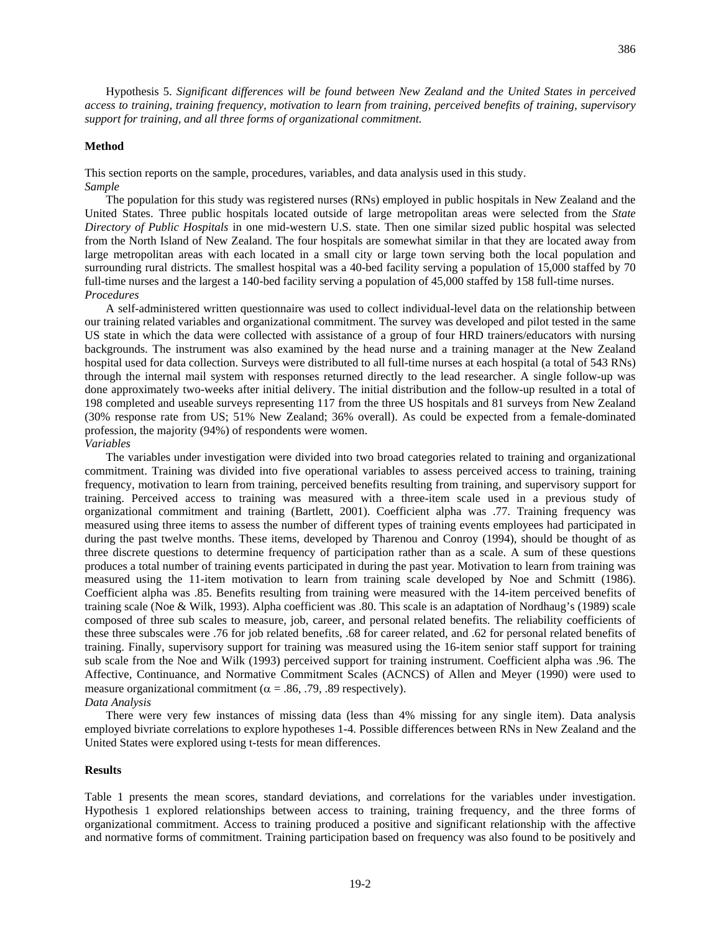Hypothesis 5. *Significant differences will be found between New Zealand and the United States in perceived access to training, training frequency, motivation to learn from training, perceived benefits of training, supervisory support for training, and all three forms of organizational commitment.* 

# **Method**

This section reports on the sample, procedures, variables, and data analysis used in this study. *Sample*

The population for this study was registered nurses (RNs) employed in public hospitals in New Zealand and the United States. Three public hospitals located outside of large metropolitan areas were selected from the *State Directory of Public Hospitals* in one mid-western U.S. state. Then one similar sized public hospital was selected from the North Island of New Zealand. The four hospitals are somewhat similar in that they are located away from large metropolitan areas with each located in a small city or large town serving both the local population and surrounding rural districts. The smallest hospital was a 40-bed facility serving a population of 15,000 staffed by 70 full-time nurses and the largest a 140-bed facility serving a population of 45,000 staffed by 158 full-time nurses. *Procedures* 

 A self-administered written questionnaire was used to collect individual-level data on the relationship between our training related variables and organizational commitment. The survey was developed and pilot tested in the same US state in which the data were collected with assistance of a group of four HRD trainers/educators with nursing backgrounds. The instrument was also examined by the head nurse and a training manager at the New Zealand hospital used for data collection. Surveys were distributed to all full-time nurses at each hospital (a total of 543 RNs) through the internal mail system with responses returned directly to the lead researcher. A single follow-up was done approximately two-weeks after initial delivery. The initial distribution and the follow-up resulted in a total of 198 completed and useable surveys representing 117 from the three US hospitals and 81 surveys from New Zealand (30% response rate from US; 51% New Zealand; 36% overall). As could be expected from a female-dominated profession, the majority (94%) of respondents were women.

#### *Variables*

The variables under investigation were divided into two broad categories related to training and organizational commitment. Training was divided into five operational variables to assess perceived access to training, training frequency, motivation to learn from training, perceived benefits resulting from training, and supervisory support for training. Perceived access to training was measured with a three-item scale used in a previous study of organizational commitment and training (Bartlett, 2001). Coefficient alpha was .77. Training frequency was measured using three items to assess the number of different types of training events employees had participated in during the past twelve months. These items, developed by Tharenou and Conroy (1994), should be thought of as three discrete questions to determine frequency of participation rather than as a scale. A sum of these questions produces a total number of training events participated in during the past year. Motivation to learn from training was measured using the 11-item motivation to learn from training scale developed by Noe and Schmitt (1986). Coefficient alpha was .85. Benefits resulting from training were measured with the 14-item perceived benefits of training scale (Noe & Wilk, 1993). Alpha coefficient was .80. This scale is an adaptation of Nordhaug's (1989) scale composed of three sub scales to measure, job, career, and personal related benefits. The reliability coefficients of these three subscales were .76 for job related benefits, .68 for career related, and .62 for personal related benefits of training. Finally, supervisory support for training was measured using the 16-item senior staff support for training sub scale from the Noe and Wilk (1993) perceived support for training instrument. Coefficient alpha was .96. The Affective, Continuance, and Normative Commitment Scales (ACNCS) of Allen and Meyer (1990) were used to measure organizational commitment ( $\alpha = .86, .79, .89$  respectively).

# *Data Analysis*

There were very few instances of missing data (less than 4% missing for any single item). Data analysis employed bivriate correlations to explore hypotheses 1-4. Possible differences between RNs in New Zealand and the United States were explored using t-tests for mean differences.

#### **Results**

Table 1 presents the mean scores, standard deviations, and correlations for the variables under investigation. Hypothesis 1 explored relationships between access to training, training frequency, and the three forms of organizational commitment. Access to training produced a positive and significant relationship with the affective and normative forms of commitment. Training participation based on frequency was also found to be positively and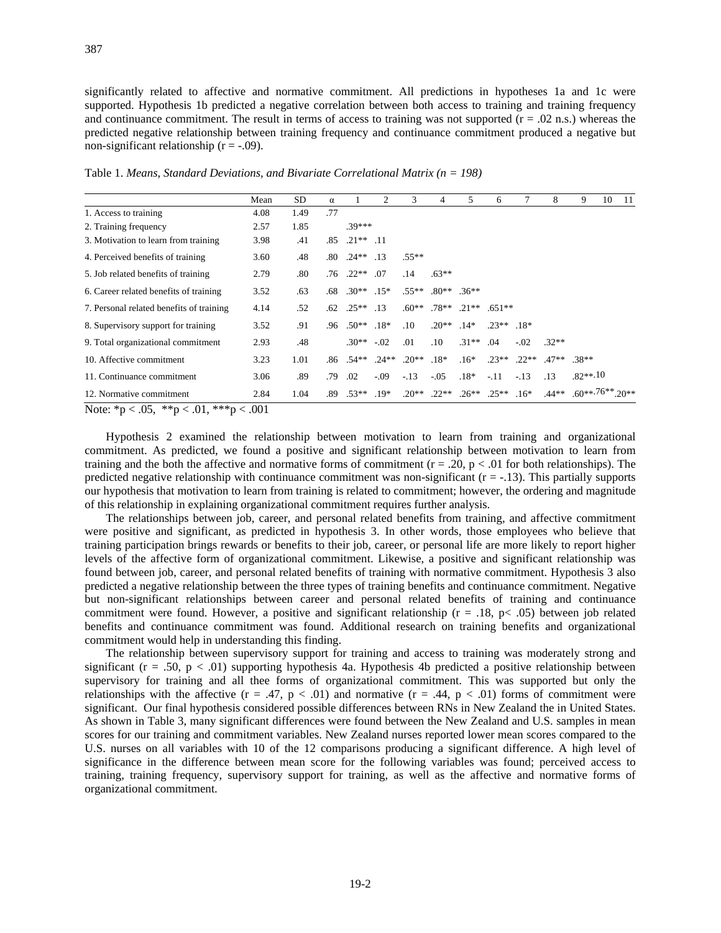significantly related to affective and normative commitment. All predictions in hypotheses 1a and 1c were supported. Hypothesis 1b predicted a negative correlation between both access to training and training frequency and continuance commitment. The result in terms of access to training was not supported  $(r = .02 \text{ n.s.})$  whereas the predicted negative relationship between training frequency and continuance commitment produced a negative but non-significant relationship  $(r = -.09)$ .

|                                          | Mean                 | SD.  | $\alpha$ |          | 2       | 3       | 4       | 5        | 6        |         | 8       | 9                 | 10 | -11 |
|------------------------------------------|----------------------|------|----------|----------|---------|---------|---------|----------|----------|---------|---------|-------------------|----|-----|
| 1. Access to training                    | 4.08                 | 1.49 | .77      |          |         |         |         |          |          |         |         |                   |    |     |
| 2. Training frequency                    | 2.57                 | 1.85 |          | 39***    |         |         |         |          |          |         |         |                   |    |     |
| 3. Motivation to learn from training     | 3.98                 | .41  | .85      | $.21**$  | .11     |         |         |          |          |         |         |                   |    |     |
| 4. Perceived benefits of training        | 3.60                 | .48  | .80      | $.24***$ | .13     | $.55**$ |         |          |          |         |         |                   |    |     |
| 5. Job related benefits of training      | 2.79                 | .80  | .76      | $.22**$  | .07     | .14     | $.63**$ |          |          |         |         |                   |    |     |
| 6. Career related benefits of training   | 3.52                 | .63  | .68      | $.30**$  | $.15*$  | $.55**$ | $.80**$ | $.36**$  |          |         |         |                   |    |     |
| 7. Personal related benefits of training | 4.14                 | .52  | .62      | $.25**$  | .13     | $.60**$ | $.78**$ | $.21**$  | $.651**$ |         |         |                   |    |     |
| 8. Supervisory support for training      | 3.52                 | .91  | .96      | $.50**$  | $.18*$  | $.10\,$ | $.20**$ | $.14*$   | $.23**$  | $.18*$  |         |                   |    |     |
| 9. Total organizational commitment       | 2.93                 | .48  |          | $.30**$  | $-.02$  | .01     | $.10\,$ | $.31**$  | .04      | $-.02$  | $.32**$ |                   |    |     |
| 10. Affective commitment                 | 3.23                 | 1.01 | .86      | $.54***$ | $.24**$ | $.20**$ | $.18*$  | $.16*$   | $.23**$  | $.22**$ | $.47**$ | $.38**$           |    |     |
| 11. Continuance commitment               | 3.06                 | .89  | .79      | .02      | $-0.09$ | $-.13$  | $-.05$  | $.18*$   | $-.11$   | $-.13$  | .13     | $.82**.10$        |    |     |
| 12. Normative commitment                 | 2.84                 | 1.04 | .89      | $.53**$  | $.19*$  | $.20**$ | $.22**$ | $.26***$ | $.25***$ | $.16*$  | $.44**$ | $.60***76***20**$ |    |     |
| ----                                     | $\sim$ $\sim$ $\sim$ |      |          |          |         |         |         |          |          |         |         |                   |    |     |

Note: \*p < .05, \*\*p < .01, \*\*\*p < .001

Hypothesis 2 examined the relationship between motivation to learn from training and organizational commitment. As predicted, we found a positive and significant relationship between motivation to learn from training and the both the affective and normative forms of commitment  $(r = .20, p < .01$  for both relationships). The predicted negative relationship with continuance commitment was non-significant  $(r = -.13)$ . This partially supports our hypothesis that motivation to learn from training is related to commitment; however, the ordering and magnitude of this relationship in explaining organizational commitment requires further analysis.

The relationships between job, career, and personal related benefits from training, and affective commitment were positive and significant, as predicted in hypothesis 3. In other words, those employees who believe that training participation brings rewards or benefits to their job, career, or personal life are more likely to report higher levels of the affective form of organizational commitment. Likewise, a positive and significant relationship was found between job, career, and personal related benefits of training with normative commitment. Hypothesis 3 also predicted a negative relationship between the three types of training benefits and continuance commitment. Negative but non-significant relationships between career and personal related benefits of training and continuance commitment were found. However, a positive and significant relationship ( $r = .18$ ,  $p < .05$ ) between job related benefits and continuance commitment was found. Additional research on training benefits and organizational commitment would help in understanding this finding.

The relationship between supervisory support for training and access to training was moderately strong and significant ( $r = .50$ ,  $p < .01$ ) supporting hypothesis 4a. Hypothesis 4b predicted a positive relationship between supervisory for training and all thee forms of organizational commitment. This was supported but only the relationships with the affective  $(r = .47, p < .01)$  and normative  $(r = .44, p < .01)$  forms of commitment were significant. Our final hypothesis considered possible differences between RNs in New Zealand the in United States. As shown in Table 3, many significant differences were found between the New Zealand and U.S. samples in mean scores for our training and commitment variables. New Zealand nurses reported lower mean scores compared to the U.S. nurses on all variables with 10 of the 12 comparisons producing a significant difference. A high level of significance in the difference between mean score for the following variables was found; perceived access to training, training frequency, supervisory support for training, as well as the affective and normative forms of organizational commitment.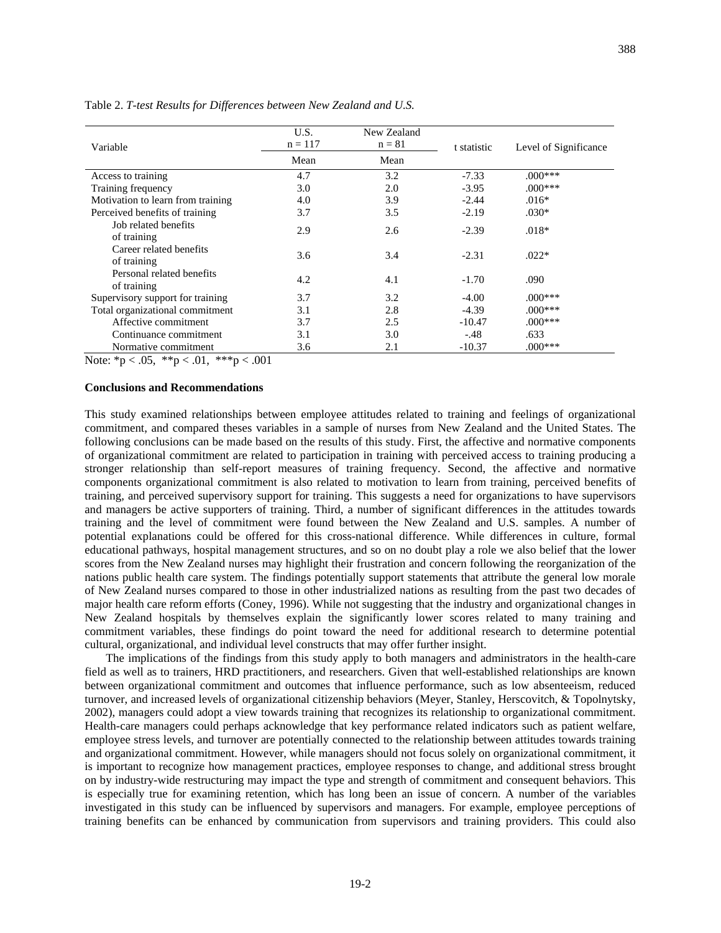| Variable                                 | U.S.<br>$n = 117$ | New Zealand<br>$n = 81$ | t statistic | Level of Significance |  |  |
|------------------------------------------|-------------------|-------------------------|-------------|-----------------------|--|--|
|                                          | Mean              | Mean                    |             |                       |  |  |
| Access to training                       | 4.7               | 3.2                     | $-7.33$     | $.000***$             |  |  |
| Training frequency                       | 3.0               | 2.0                     | $-3.95$     | $.000***$             |  |  |
| Motivation to learn from training        | 4.0               | 3.9                     | $-2.44$     | $.016*$               |  |  |
| Perceived benefits of training           | 3.7               | 3.5                     | $-2.19$     | $.030*$               |  |  |
| Job related benefits<br>of training      | 2.9               | 2.6                     | $-2.39$     | $.018*$               |  |  |
| Career related benefits<br>of training   | 3.6               | 3.4                     | $-2.31$     | $.022*$               |  |  |
| Personal related benefits<br>of training | 4.2               | 4.1                     | $-1.70$     | .090                  |  |  |
| Supervisory support for training         | 3.7               | 3.2                     | $-4.00$     | $.000***$             |  |  |
| Total organizational commitment          | 3.1               | 2.8                     | $-4.39$     | $.000***$             |  |  |
| Affective commitment                     | 3.7               | 2.5                     | $-10.47$    | $.000***$             |  |  |
| Continuance commitment                   | 3.1               | 3.0                     | $-.48$      | .633                  |  |  |
| Normative commitment                     | 3.6               | 2.1                     | $-10.37$    | $.000***$             |  |  |

Table 2. *T-test Results for Differences between New Zealand and U.S.* 

Note:  ${}^*p < .05$ ,  ${}^*p < .01$ ,  ${}^*{}^*p < .001$ 

### **Conclusions and Recommendations**

This study examined relationships between employee attitudes related to training and feelings of organizational commitment, and compared theses variables in a sample of nurses from New Zealand and the United States. The following conclusions can be made based on the results of this study. First, the affective and normative components of organizational commitment are related to participation in training with perceived access to training producing a stronger relationship than self-report measures of training frequency. Second, the affective and normative components organizational commitment is also related to motivation to learn from training, perceived benefits of training, and perceived supervisory support for training. This suggests a need for organizations to have supervisors and managers be active supporters of training. Third, a number of significant differences in the attitudes towards training and the level of commitment were found between the New Zealand and U.S. samples. A number of potential explanations could be offered for this cross-national difference. While differences in culture, formal educational pathways, hospital management structures, and so on no doubt play a role we also belief that the lower scores from the New Zealand nurses may highlight their frustration and concern following the reorganization of the nations public health care system. The findings potentially support statements that attribute the general low morale of New Zealand nurses compared to those in other industrialized nations as resulting from the past two decades of major health care reform efforts (Coney, 1996). While not suggesting that the industry and organizational changes in New Zealand hospitals by themselves explain the significantly lower scores related to many training and commitment variables, these findings do point toward the need for additional research to determine potential cultural, organizational, and individual level constructs that may offer further insight.

The implications of the findings from this study apply to both managers and administrators in the health-care field as well as to trainers, HRD practitioners, and researchers. Given that well-established relationships are known between organizational commitment and outcomes that influence performance, such as low absenteeism, reduced turnover, and increased levels of organizational citizenship behaviors (Meyer, Stanley, Herscovitch, & Topolnytsky, 2002), managers could adopt a view towards training that recognizes its relationship to organizational commitment. Health-care managers could perhaps acknowledge that key performance related indicators such as patient welfare, employee stress levels, and turnover are potentially connected to the relationship between attitudes towards training and organizational commitment. However, while managers should not focus solely on organizational commitment, it is important to recognize how management practices, employee responses to change, and additional stress brought on by industry-wide restructuring may impact the type and strength of commitment and consequent behaviors. This is especially true for examining retention, which has long been an issue of concern. A number of the variables investigated in this study can be influenced by supervisors and managers. For example, employee perceptions of training benefits can be enhanced by communication from supervisors and training providers. This could also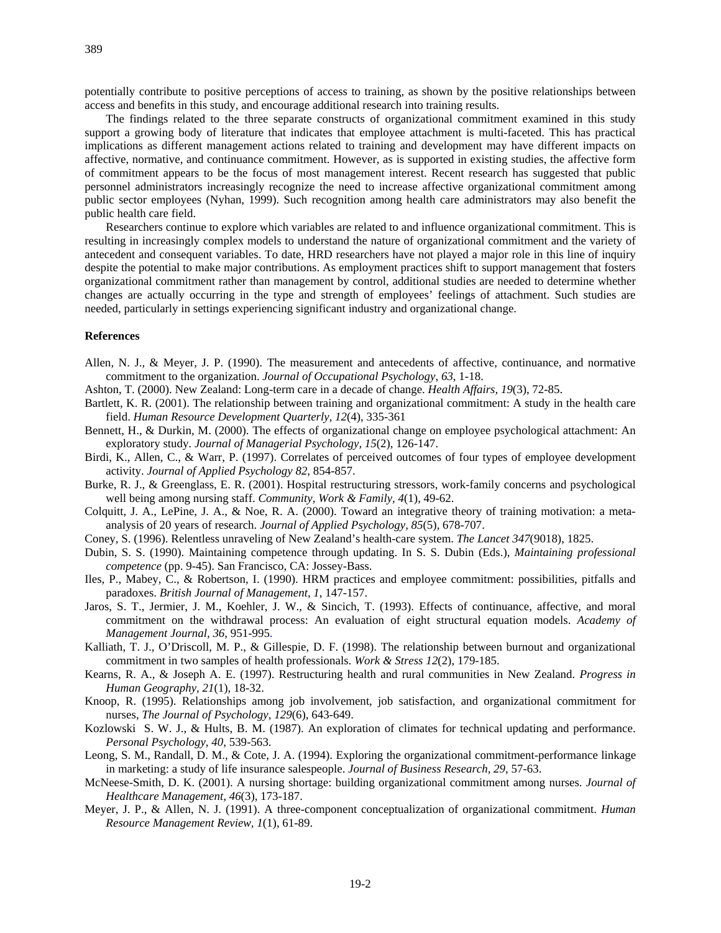potentially contribute to positive perceptions of access to training, as shown by the positive relationships between access and benefits in this study, and encourage additional research into training results.

The findings related to the three separate constructs of organizational commitment examined in this study support a growing body of literature that indicates that employee attachment is multi-faceted. This has practical implications as different management actions related to training and development may have different impacts on affective, normative, and continuance commitment. However, as is supported in existing studies, the affective form of commitment appears to be the focus of most management interest. Recent research has suggested that public personnel administrators increasingly recognize the need to increase affective organizational commitment among public sector employees (Nyhan, 1999). Such recognition among health care administrators may also benefit the public health care field.

Researchers continue to explore which variables are related to and influence organizational commitment. This is resulting in increasingly complex models to understand the nature of organizational commitment and the variety of antecedent and consequent variables. To date, HRD researchers have not played a major role in this line of inquiry despite the potential to make major contributions. As employment practices shift to support management that fosters organizational commitment rather than management by control, additional studies are needed to determine whether changes are actually occurring in the type and strength of employees' feelings of attachment. Such studies are needed, particularly in settings experiencing significant industry and organizational change.

## **References**

- Allen, N. J., & Meyer, J. P. (1990). The measurement and antecedents of affective, continuance, and normative commitment to the organization. *Journal of Occupational Psychology*, *63*, 1-18.
- Ashton, T. (2000). New Zealand: Long-term care in a decade of change. *Health Affairs, 19*(3), 72-85.
- Bartlett, K. R. (2001). The relationship between training and organizational commitment: A study in the health care field. *Human Resource Development Quarterly, 12*(4), 335-361
- Bennett, H., & Durkin, M. (2000). The effects of organizational change on employee psychological attachment: An exploratory study. *Journal of Managerial Psychology, 15*(2), 126-147.
- Birdi, K., Allen, C., & Warr, P. (1997). Correlates of perceived outcomes of four types of employee development activity. *Journal of Applied Psychology 82*, 854-857.
- Burke, R. J., & Greenglass, E. R. (2001). Hospital restructuring stressors, work-family concerns and psychological well being among nursing staff. *Community, Work & Family, 4*(1), 49-62.
- Colquitt, J. A., LePine, J. A., & Noe, R. A. (2000). Toward an integrative theory of training motivation: a metaanalysis of 20 years of research. *Journal of Applied Psychology, 85*(5), 678-707.
- Coney, S. (1996). Relentless unraveling of New Zealand's health-care system. *The Lancet 347*(9018), 1825.
- Dubin, S. S. (1990). Maintaining competence through updating. In S. S. Dubin (Eds.), *Maintaining professional competence* (pp. 9-45). San Francisco, CA: Jossey-Bass.
- Iles, P., Mabey, C., & Robertson, I. (1990). HRM practices and employee commitment: possibilities, pitfalls and paradoxes. *British Journal of Management, 1*, 147-157.
- Jaros, S. T., Jermier, J. M., Koehler, J. W., & Sincich, T. (1993). Effects of continuance, affective, and moral commitment on the withdrawal process: An evaluation of eight structural equation models. *Academy of Management Journal, 36*, 951-995.
- Kalliath, T. J., O'Driscoll, M. P., & Gillespie, D. F. (1998). The relationship between burnout and organizational commitment in two samples of health professionals. *Work & Stress 12*(2), 179-185.
- Kearns, R. A., & Joseph A. E. (1997). Restructuring health and rural communities in New Zealand. *Progress in Human Geography, 21*(1), 18-32.
- Knoop, R. (1995). Relationships among job involvement, job satisfaction, and organizational commitment for nurses, *The Journal of Psychology, 129*(6), 643-649.
- Kozlowski S. W. J., & Hults, B. M. (1987). An exploration of climates for technical updating and performance. *Personal Psychology, 40,* 539-563.
- Leong, S. M., Randall, D. M., & Cote, J. A. (1994). Exploring the organizational commitment-performance linkage in marketing: a study of life insurance salespeople. *Journal of Business Research, 29*, 57-63.
- McNeese-Smith, D. K. (2001). A nursing shortage: building organizational commitment among nurses. *Journal of Healthcare Management, 46*(3), 173-187.
- Meyer, J. P., & Allen, N. J. (1991). A three-component conceptualization of organizational commitment. *Human Resource Management Review, 1*(1), 61-89.